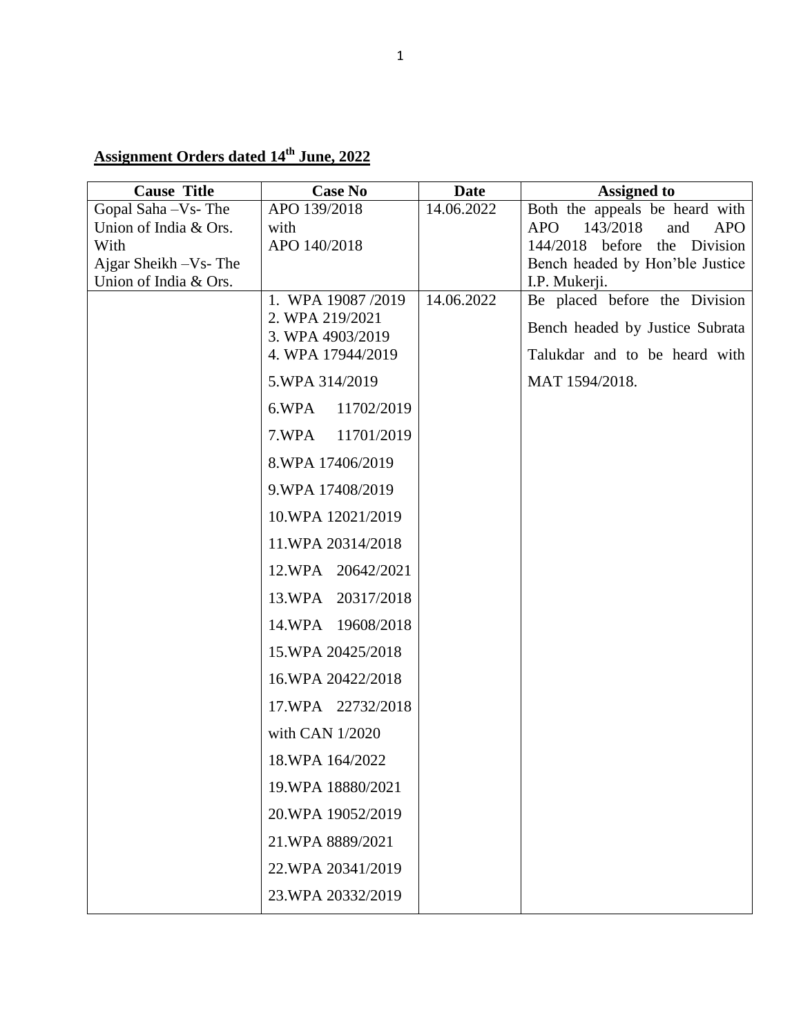## **Assignment Orders dated 14th June, 2022**

| <b>Cause Title</b>            | <b>Case No</b>                        | <b>Date</b> | <b>Assigned to</b>                                                          |
|-------------------------------|---------------------------------------|-------------|-----------------------------------------------------------------------------|
| Gopal Saha - Vs - The         | APO 139/2018                          | 14.06.2022  | Both the appeals be heard with                                              |
| Union of India & Ors.<br>With | with<br>APO 140/2018                  |             | 143/2018<br>and<br><b>APO</b><br><b>APO</b><br>144/2018 before the Division |
| Ajgar Sheikh - Vs- The        |                                       |             | Bench headed by Hon'ble Justice                                             |
| Union of India & Ors.         |                                       |             | I.P. Mukerji.                                                               |
|                               | 1. WPA 19087/2019                     | 14.06.2022  | Be placed before the Division                                               |
|                               | 2. WPA 219/2021                       |             | Bench headed by Justice Subrata                                             |
|                               | 3. WPA 4903/2019<br>4. WPA 17944/2019 |             | Talukdar and to be heard with                                               |
|                               |                                       |             |                                                                             |
|                               | 5.WPA 314/2019                        |             | MAT 1594/2018.                                                              |
|                               | 11702/2019<br>6.WPA                   |             |                                                                             |
|                               | 7.WPA<br>11701/2019                   |             |                                                                             |
|                               | 8.WPA 17406/2019                      |             |                                                                             |
|                               | 9.WPA 17408/2019                      |             |                                                                             |
|                               | 10.WPA 12021/2019                     |             |                                                                             |
|                               | 11.WPA 20314/2018                     |             |                                                                             |
|                               | 12.WPA 20642/2021                     |             |                                                                             |
|                               | 13.WPA 20317/2018                     |             |                                                                             |
|                               | 14.WPA 19608/2018                     |             |                                                                             |
|                               | 15.WPA 20425/2018                     |             |                                                                             |
|                               | 16.WPA 20422/2018                     |             |                                                                             |
|                               | 17.WPA 22732/2018                     |             |                                                                             |
|                               | with CAN 1/2020                       |             |                                                                             |
|                               | 18.WPA 164/2022                       |             |                                                                             |
|                               | 19.WPA 18880/2021                     |             |                                                                             |
|                               | 20.WPA 19052/2019                     |             |                                                                             |
|                               | 21.WPA 8889/2021                      |             |                                                                             |
|                               | 22.WPA 20341/2019                     |             |                                                                             |
|                               | 23. WPA 20332/2019                    |             |                                                                             |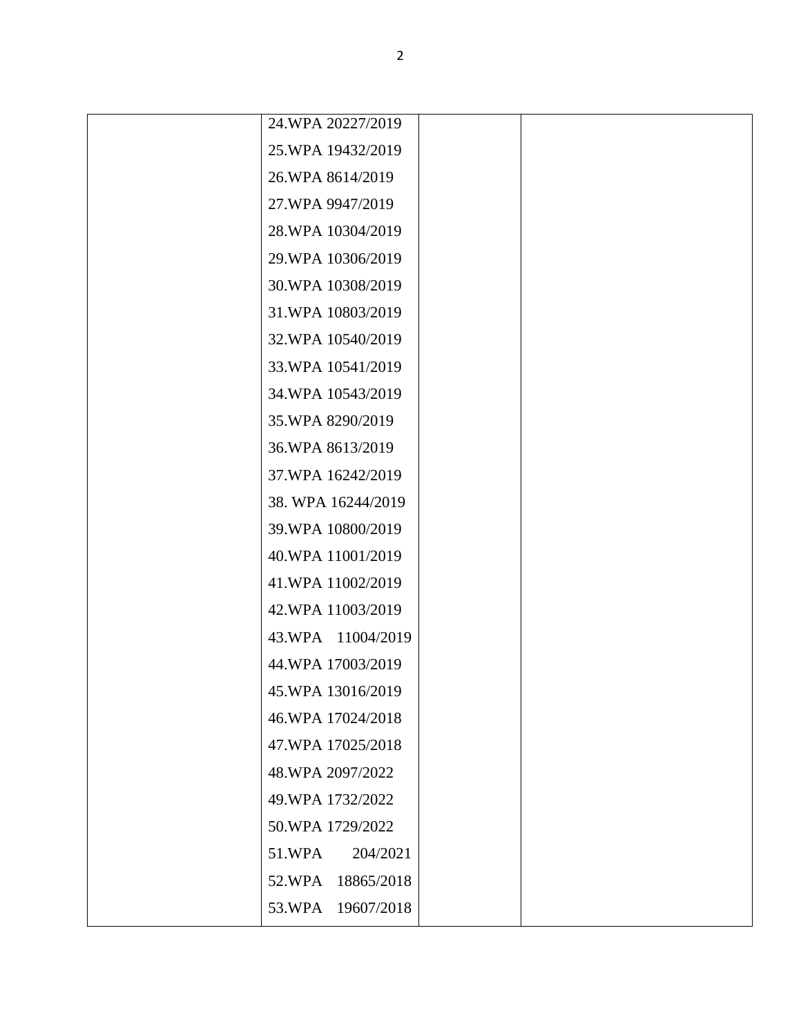| 24.WPA 20227/2019    |  |
|----------------------|--|
| 25.WPA 19432/2019    |  |
| 26.WPA 8614/2019     |  |
| 27.WPA 9947/2019     |  |
| 28.WPA 10304/2019    |  |
| 29.WPA 10306/2019    |  |
| 30.WPA 10308/2019    |  |
| 31.WPA 10803/2019    |  |
| 32.WPA 10540/2019    |  |
| 33. WPA 10541/2019   |  |
| 34.WPA 10543/2019    |  |
| 35.WPA 8290/2019     |  |
| 36.WPA 8613/2019     |  |
| 37.WPA 16242/2019    |  |
| 38. WPA 16244/2019   |  |
| 39. WPA 10800/2019   |  |
| 40.WPA 11001/2019    |  |
| 41.WPA 11002/2019    |  |
| 42.WPA 11003/2019    |  |
| 43.WPA 11004/2019    |  |
| 44.WPA 17003/2019    |  |
| 45.WPA 13016/2019    |  |
| 46.WPA 17024/2018    |  |
| 47.WPA 17025/2018    |  |
| 48.WPA 2097/2022     |  |
| 49. WPA 1732/2022    |  |
| 50.WPA 1729/2022     |  |
| 51.WPA<br>204/2021   |  |
| 52.WPA<br>18865/2018 |  |
| 53.WPA 19607/2018    |  |